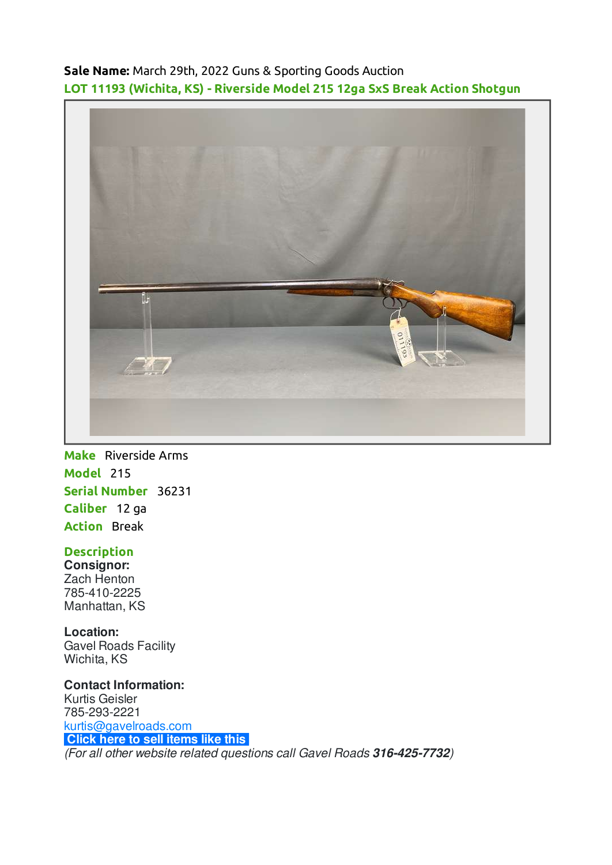**Sale Name:** March 29th, 2022 Guns & Sporting Goods Auction **LOT 11193 (Wichita, KS) - Riverside Model 215 12ga SxS Break Action Shotgun**



**Make** Riverside Arms **Model** 215 **Serial Number** 36231 **Caliber** 12 ga **Action** Break

## **Description**

**Consignor:** Zach Henton 785-410-2225 Manhattan, KS

**Location:** Gavel Roads Facility Wichita, KS

**Contact Information:** Kurtis Geisler 785-293-2221 [kurtis@gavelroads.com](mailto:kurtis@gavelroads.com) **[Click here to sell items like this](https://www.gavelroads.com/contact-us)** (For all other website related questions call Gavel Roads **316-425-7732**)